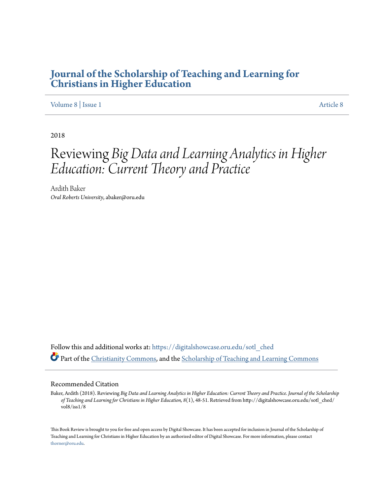# **[Journal of the Scholarship of Teaching and Learning for](https://digitalshowcase.oru.edu/sotl_ched?utm_source=digitalshowcase.oru.edu%2Fsotl_ched%2Fvol8%2Fiss1%2F8&utm_medium=PDF&utm_campaign=PDFCoverPages) [Christians in Higher Education](https://digitalshowcase.oru.edu/sotl_ched?utm_source=digitalshowcase.oru.edu%2Fsotl_ched%2Fvol8%2Fiss1%2F8&utm_medium=PDF&utm_campaign=PDFCoverPages)**

### [Volume 8](https://digitalshowcase.oru.edu/sotl_ched/vol8?utm_source=digitalshowcase.oru.edu%2Fsotl_ched%2Fvol8%2Fiss1%2F8&utm_medium=PDF&utm_campaign=PDFCoverPages) | [Issue 1](https://digitalshowcase.oru.edu/sotl_ched/vol8/iss1?utm_source=digitalshowcase.oru.edu%2Fsotl_ched%2Fvol8%2Fiss1%2F8&utm_medium=PDF&utm_campaign=PDFCoverPages) [Article 8](https://digitalshowcase.oru.edu/sotl_ched/vol8/iss1/8?utm_source=digitalshowcase.oru.edu%2Fsotl_ched%2Fvol8%2Fiss1%2F8&utm_medium=PDF&utm_campaign=PDFCoverPages)

2018

# Reviewing *Big Data and Learning Analytics in Higher Education: Current Theory and Practice*

Ardith Baker *Oral Roberts University*, abaker@oru.edu

Follow this and additional works at: [https://digitalshowcase.oru.edu/sotl\\_ched](https://digitalshowcase.oru.edu/sotl_ched?utm_source=digitalshowcase.oru.edu%2Fsotl_ched%2Fvol8%2Fiss1%2F8&utm_medium=PDF&utm_campaign=PDFCoverPages) Part of the [Christianity Commons,](http://network.bepress.com/hgg/discipline/1181?utm_source=digitalshowcase.oru.edu%2Fsotl_ched%2Fvol8%2Fiss1%2F8&utm_medium=PDF&utm_campaign=PDFCoverPages) and the [Scholarship of Teaching and Learning Commons](http://network.bepress.com/hgg/discipline/1328?utm_source=digitalshowcase.oru.edu%2Fsotl_ched%2Fvol8%2Fiss1%2F8&utm_medium=PDF&utm_campaign=PDFCoverPages)

#### Recommended Citation

Baker, Ardith (2018). Reviewing *Big Data and Learning Analytics in Higher Education: Current Theory and Practice. Journal of the Scholarship of Teaching and Learning for Christians in Higher Education, 8*(1), 48-51. Retrieved from http://digitalshowcase.oru.edu/sotl\_ched/ vol8/iss1/8

This Book Review is brought to you for free and open access by Digital Showcase. It has been accepted for inclusion in Journal of the Scholarship of Teaching and Learning for Christians in Higher Education by an authorized editor of Digital Showcase. For more information, please contact [thorner@oru.edu.](mailto:thorner@oru.edu)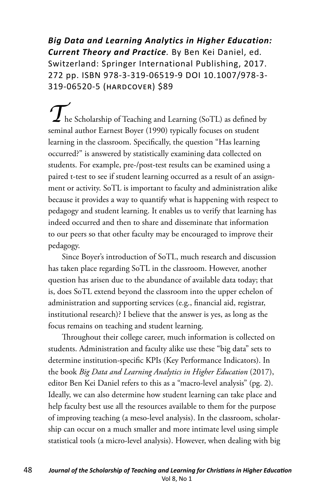*Big Data and Learning Analytics in Higher Education: Current Theory and Practice.* By Ben Kei Daniel, ed*.*  Switzerland: Springer International Publishing, 2017. 272 pp. ISBN 978-3-319-06519-9 DOI 10.1007/978-3- 319-06520-5 (hardcover) \$89

**The Scholarship of Teaching and Learning (SoTL) as defined by** seminal author Earnest Boyer (1990) typically focuses on student learning in the classroom. Specifically, the question "Has learning occurred?" is answered by statistically examining data collected on students. For example, pre-/post-test results can be examined using a paired t-test to see if student learning occurred as a result of an assignment or activity. SoTL is important to faculty and administration alike because it provides a way to quantify what is happening with respect to pedagogy and student learning. It enables us to verify that learning has indeed occurred and then to share and disseminate that information to our peers so that other faculty may be encouraged to improve their pedagogy.

Since Boyer's introduction of SoTL, much research and discussion has taken place regarding SoTL in the classroom. However, another question has arisen due to the abundance of available data today; that is, does SoTL extend beyond the classroom into the upper echelon of administration and supporting services (e.g., financial aid, registrar, institutional research)? I believe that the answer is yes, as long as the focus remains on teaching and student learning.

Throughout their college career, much information is collected on students. Administration and faculty alike use these "big data" sets to determine institution-specific KPIs (Key Performance Indicators). In the book *Big Data and Learning Analytics in Higher Education* (2017), editor Ben Kei Daniel refers to this as a "macro-level analysis" (pg. 2). Ideally, we can also determine how student learning can take place and help faculty best use all the resources available to them for the purpose of improving teaching (a meso-level analysis). In the classroom, scholarship can occur on a much smaller and more intimate level using simple statistical tools (a micro-level analysis). However, when dealing with big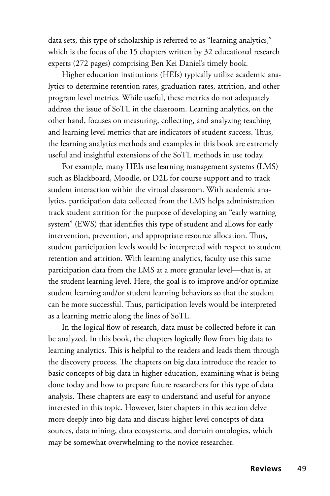data sets, this type of scholarship is referred to as "learning analytics," which is the focus of the 15 chapters written by 32 educational research experts (272 pages) comprising Ben Kei Daniel's timely book.

Higher education institutions (HEIs) typically utilize academic analytics to determine retention rates, graduation rates, attrition, and other program level metrics. While useful, these metrics do not adequately address the issue of SoTL in the classroom. Learning analytics, on the other hand, focuses on measuring, collecting, and analyzing teaching and learning level metrics that are indicators of student success. Thus, the learning analytics methods and examples in this book are extremely useful and insightful extensions of the SoTL methods in use today.

For example, many HEIs use learning management systems (LMS) such as Blackboard, Moodle, or D2L for course support and to track student interaction within the virtual classroom. With academic analytics, participation data collected from the LMS helps administration track student attrition for the purpose of developing an "early warning system" (EWS) that identifies this type of student and allows for early intervention, prevention, and appropriate resource allocation. Thus, student participation levels would be interpreted with respect to student retention and attrition. With learning analytics, faculty use this same participation data from the LMS at a more granular level—that is, at the student learning level. Here, the goal is to improve and/or optimize student learning and/or student learning behaviors so that the student can be more successful. Thus, participation levels would be interpreted as a learning metric along the lines of SoTL.

In the logical flow of research, data must be collected before it can be analyzed. In this book, the chapters logically flow from big data to learning analytics. This is helpful to the readers and leads them through the discovery process. The chapters on big data introduce the reader to basic concepts of big data in higher education, examining what is being done today and how to prepare future researchers for this type of data analysis. These chapters are easy to understand and useful for anyone interested in this topic. However, later chapters in this section delve more deeply into big data and discuss higher level concepts of data sources, data mining, data ecosystems, and domain ontologies, which may be somewhat overwhelming to the novice researcher.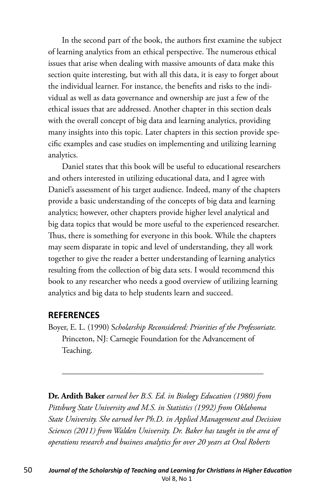In the second part of the book, the authors first examine the subject of learning analytics from an ethical perspective. The numerous ethical issues that arise when dealing with massive amounts of data make this section quite interesting, but with all this data, it is easy to forget about the individual learner. For instance, the benefits and risks to the individual as well as data governance and ownership are just a few of the ethical issues that are addressed. Another chapter in this section deals with the overall concept of big data and learning analytics, providing many insights into this topic. Later chapters in this section provide specific examples and case studies on implementing and utilizing learning analytics.

Daniel states that this book will be useful to educational researchers and others interested in utilizing educational data, and I agree with Daniel's assessment of his target audience. Indeed, many of the chapters provide a basic understanding of the concepts of big data and learning analytics; however, other chapters provide higher level analytical and big data topics that would be more useful to the experienced researcher. Thus, there is something for everyone in this book. While the chapters may seem disparate in topic and level of understanding, they all work together to give the reader a better understanding of learning analytics resulting from the collection of big data sets. I would recommend this book to any researcher who needs a good overview of utilizing learning analytics and big data to help students learn and succeed.

## **REFERENCES**

Boyer, E. L. (1990) S*cholarship Reconsidered: Priorities of the Professoriate.* Princeton, NJ: Carnegie Foundation for the Advancement of Teaching.

————————————————————————

**Dr. Ardith Baker** *earned her B.S. Ed. in Biology Education (1980) from Pittsburg State University and M.S. in Statistics (1992) from Oklahoma State University. She earned her Ph.D. in Applied Management and Decision Sciences (2011) from Walden University. Dr. Baker has taught in the area of operations research and business analytics for over 20 years at Oral Roberts*